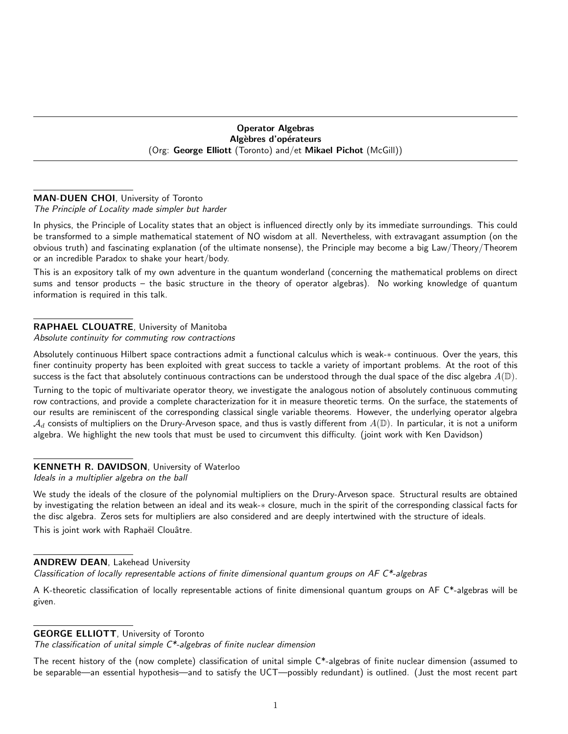## Operator Algebras Algèbres d'opérateurs (Org: George Elliott (Toronto) and/et Mikael Pichot (McGill))

## MAN-DUEN CHOI, University of Toronto

## The Principle of Locality made simpler but harder

In physics, the Principle of Locality states that an object is influenced directly only by its immediate surroundings. This could be transformed to a simple mathematical statement of NO wisdom at all. Nevertheless, with extravagant assumption (on the obvious truth) and fascinating explanation (of the ultimate nonsense), the Principle may become a big Law/Theory/Theorem or an incredible Paradox to shake your heart/body.

This is an expository talk of my own adventure in the quantum wonderland (concerning the mathematical problems on direct sums and tensor products – the basic structure in the theory of operator algebras). No working knowledge of quantum information is required in this talk.

# RAPHAEL CLOUATRE, University of Manitoba

## Absolute continuity for commuting row contractions

Absolutely continuous Hilbert space contractions admit a functional calculus which is weak-∗ continuous. Over the years, this finer continuity property has been exploited with great success to tackle a variety of important problems. At the root of this success is the fact that absolutely continuous contractions can be understood through the dual space of the disc algebra  $A(\mathbb{D})$ .

Turning to the topic of multivariate operator theory, we investigate the analogous notion of absolutely continuous commuting row contractions, and provide a complete characterization for it in measure theoretic terms. On the surface, the statements of our results are reminiscent of the corresponding classical single variable theorems. However, the underlying operator algebra  $A_d$  consists of multipliers on the Drury-Arveson space, and thus is vastly different from  $A(D)$ . In particular, it is not a uniform algebra. We highlight the new tools that must be used to circumvent this difficulty. (joint work with Ken Davidson)

# KENNETH R. DAVIDSON, University of Waterloo

Ideals in a multiplier algebra on the ball

We study the ideals of the closure of the polynomial multipliers on the Drury-Arveson space. Structural results are obtained by investigating the relation between an ideal and its weak-∗ closure, much in the spirit of the corresponding classical facts for the disc algebra. Zeros sets for multipliers are also considered and are deeply intertwined with the structure of ideals.

This is joint work with Raphaël Clouâtre.

## ANDREW DEAN, Lakehead University

Classification of locally representable actions of finite dimensional quantum groups on  $AF C^*$ -algebras

A K-theoretic classification of locally representable actions of finite dimensional quantum groups on AF C\*-algebras will be given.

## GEORGE ELLIOTT, University of Toronto

The classification of unital simple  $C^*$ -algebras of finite nuclear dimension

The recent history of the (now complete) classification of unital simple  $C^*$ -algebras of finite nuclear dimension (assumed to be separable—an essential hypothesis—and to satisfy the UCT—possibly redundant) is outlined. (Just the most recent part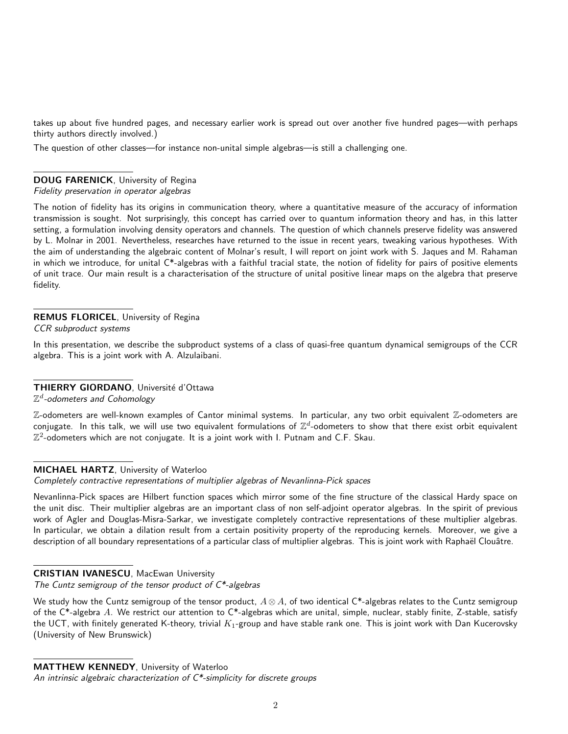takes up about five hundred pages, and necessary earlier work is spread out over another five hundred pages—with perhaps thirty authors directly involved.)

The question of other classes—for instance non-unital simple algebras—is still a challenging one.

# DOUG FARENICK, University of Regina

#### Fidelity preservation in operator algebras

The notion of fidelity has its origins in communication theory, where a quantitative measure of the accuracy of information transmission is sought. Not surprisingly, this concept has carried over to quantum information theory and has, in this latter setting, a formulation involving density operators and channels. The question of which channels preserve fidelity was answered by L. Molnar in 2001. Nevertheless, researches have returned to the issue in recent years, tweaking various hypotheses. With the aim of understanding the algebraic content of Molnar's result, I will report on joint work with S. Jaques and M. Rahaman in which we introduce, for unital C\*-algebras with a faithful tracial state, the notion of fidelity for pairs of positive elements of unit trace. Our main result is a characterisation of the structure of unital positive linear maps on the algebra that preserve fidelity.

## REMUS FLORICEL, University of Regina

CCR subproduct systems

In this presentation, we describe the subproduct systems of a class of quasi-free quantum dynamical semigroups of the CCR algebra. This is a joint work with A. Alzulaibani.

# THIERRY GIORDANO, Université d'Ottawa

 $\mathbb{Z}^d$ -odometers and Cohomology

Z-odometers are well-known examples of Cantor minimal systems. In particular, any two orbit equivalent Z-odometers are conjugate. In this talk, we will use two equivalent formulations of  $\mathbb{Z}^d$ -odometers to show that there exist orbit equivalent  $\mathbb{Z}^2$ -odometers which are not conjugate. It is a joint work with I. Putnam and C.F. Skau.

## MICHAEL HARTZ, University of Waterloo

Completely contractive representations of multiplier algebras of Nevanlinna-Pick spaces

Nevanlinna-Pick spaces are Hilbert function spaces which mirror some of the fine structure of the classical Hardy space on the unit disc. Their multiplier algebras are an important class of non self-adjoint operator algebras. In the spirit of previous work of Agler and Douglas-Misra-Sarkar, we investigate completely contractive representations of these multiplier algebras. In particular, we obtain a dilation result from a certain positivity property of the reproducing kernels. Moreover, we give a description of all boundary representations of a particular class of multiplier algebras. This is joint work with Raphaël Clouâtre.

# CRISTIAN IVANESCU, MacEwan University

The Cuntz semigroup of the tensor product of  $C^*$ -algebras

We study how the Cuntz semigroup of the tensor product,  $A \otimes A$ , of two identical C\*-algebras relates to the Cuntz semigroup of the  $C^*$ -algebra A. We restrict our attention to  $C^*$ -algebras which are unital, simple, nuclear, stably finite, Z-stable, satisfy the UCT, with finitely generated K-theory, trivial  $K_1$ -group and have stable rank one. This is joint work with Dan Kucerovsky (University of New Brunswick)

# MATTHEW KENNEDY, University of Waterloo

An intrinsic algebraic characterization of  $C^*$ -simplicity for discrete groups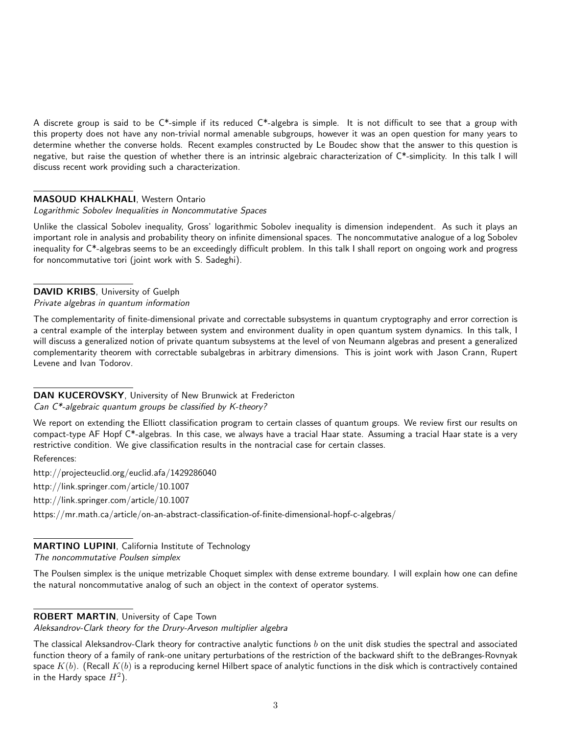A discrete group is said to be  $C^*$ -simple if its reduced  $C^*$ -algebra is simple. It is not difficult to see that a group with this property does not have any non-trivial normal amenable subgroups, however it was an open question for many years to determine whether the converse holds. Recent examples constructed by Le Boudec show that the answer to this question is negative, but raise the question of whether there is an intrinsic algebraic characterization of C\*-simplicity. In this talk I will discuss recent work providing such a characterization.

#### MASOUD KHALKHALI, Western Ontario

#### Logarithmic Sobolev Inequalities in Noncommutative Spaces

Unlike the classical Sobolev inequality, Gross' logarithmic Sobolev inequality is dimension independent. As such it plays an important role in analysis and probability theory on infinite dimensional spaces. The noncommutative analogue of a log Sobolev inequality for C\*-algebras seems to be an exceedingly difficult problem. In this talk I shall report on ongoing work and progress for noncommutative tori (joint work with S. Sadeghi).

DAVID KRIBS, University of Guelph Private algebras in quantum information

The complementarity of finite-dimensional private and correctable subsystems in quantum cryptography and error correction is a central example of the interplay between system and environment duality in open quantum system dynamics. In this talk, I will discuss a generalized notion of private quantum subsystems at the level of von Neumann algebras and present a generalized complementarity theorem with correctable subalgebras in arbitrary dimensions. This is joint work with Jason Crann, Rupert Levene and Ivan Todorov.

#### DAN KUCEROVSKY, University of New Brunwick at Fredericton Can C\*-algebraic quantum groups be classified by K-theory?

We report on extending the Elliott classification program to certain classes of quantum groups. We review first our results on compact-type AF Hopf C\*-algebras. In this case, we always have a tracial Haar state. Assuming a tracial Haar state is a very restrictive condition. We give classification results in the nontracial case for certain classes.

References:

http://projecteuclid.org/euclid.afa/1429286040

http://link.springer.com/article/10.1007

http://link.springer.com/article/10.1007

https://mr.math.ca/article/on-an-abstract-classification-of-finite-dimensional-hopf-c-algebras/

#### MARTINO LUPINI, California Institute of Technology The noncommutative Poulsen simplex

The Poulsen simplex is the unique metrizable Choquet simplex with dense extreme boundary. I will explain how one can define the natural noncommutative analog of such an object in the context of operator systems.

## ROBERT MARTIN, University of Cape Town

Aleksandrov-Clark theory for the Drury-Arveson multiplier algebra

The classical Aleksandrov-Clark theory for contractive analytic functions  $b$  on the unit disk studies the spectral and associated function theory of a family of rank-one unitary perturbations of the restriction of the backward shift to the deBranges-Rovnyak space  $K(b)$ . (Recall  $K(b)$  is a reproducing kernel Hilbert space of analytic functions in the disk which is contractively contained in the Hardy space  $H^2$ ).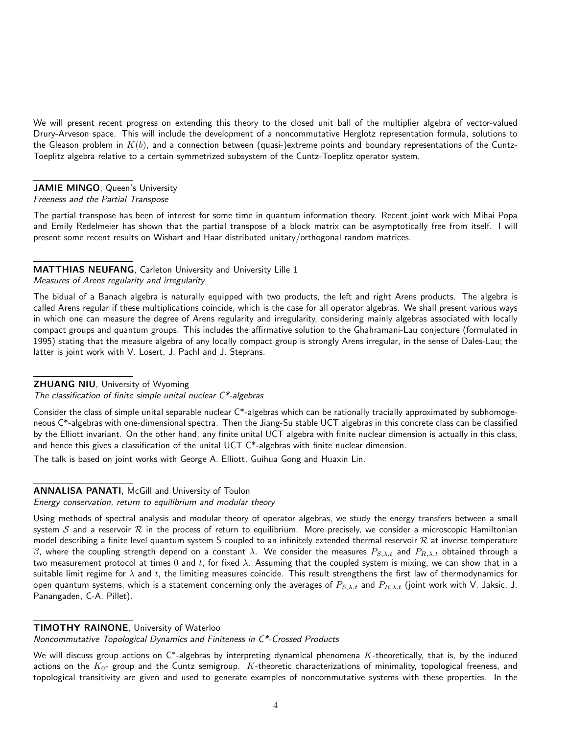We will present recent progress on extending this theory to the closed unit ball of the multiplier algebra of vector-valued Drury-Arveson space. This will include the development of a noncommutative Herglotz representation formula, solutions to the Gleason problem in  $K(b)$ , and a connection between (quasi-)extreme points and boundary representations of the Cuntz-Toeplitz algebra relative to a certain symmetrized subsystem of the Cuntz-Toeplitz operator system.

# JAMIE MINGO, Queen's University

## Freeness and the Partial Transpose

The partial transpose has been of interest for some time in quantum information theory. Recent joint work with Mihai Popa and Emily Redelmeier has shown that the partial transpose of a block matrix can be asymptotically free from itself. I will present some recent results on Wishart and Haar distributed unitary/orthogonal random matrices.

# MATTHIAS NEUFANG, Carleton University and University Lille 1

Measures of Arens regularity and irregularity

The bidual of a Banach algebra is naturally equipped with two products, the left and right Arens products. The algebra is called Arens regular if these multiplications coincide, which is the case for all operator algebras. We shall present various ways in which one can measure the degree of Arens regularity and irregularity, considering mainly algebras associated with locally compact groups and quantum groups. This includes the affirmative solution to the Ghahramani-Lau conjecture (formulated in 1995) stating that the measure algebra of any locally compact group is strongly Arens irregular, in the sense of Dales-Lau; the latter is joint work with V. Losert, J. Pachl and J. Steprans.

## **ZHUANG NIU, University of Wyoming**

The classification of finite simple unital nuclear  $C^*$ -algebras

Consider the class of simple unital separable nuclear C\*-algebras which can be rationally tracially approximated by subhomogeneous C\*-algebras with one-dimensional spectra. Then the Jiang-Su stable UCT algebras in this concrete class can be classified by the Elliott invariant. On the other hand, any finite unital UCT algebra with finite nuclear dimension is actually in this class, and hence this gives a classification of the unital UCT C\*-algebras with finite nuclear dimension.

The talk is based on joint works with George A. Elliott, Guihua Gong and Huaxin Lin.

# ANNALISA PANATI, McGill and University of Toulon

Energy conservation, return to equilibrium and modular theory

Using methods of spectral analysis and modular theory of operator algebras, we study the energy transfers between a small system S and a reservoir  $R$  in the process of return to equilibrium. More precisely, we consider a microscopic Hamiltonian model describing a finite level quantum system S coupled to an infinitely extended thermal reservoir  $R$  at inverse temperature β, where the coupling strength depend on a constant λ. We consider the measures  $P_{S,\lambda,t}$  and  $P_{R,\lambda,t}$  obtained through a two measurement protocol at times 0 and t, for fixed  $\lambda$ . Assuming that the coupled system is mixing, we can show that in a suitable limit regime for  $\lambda$  and t, the limiting measures coincide. This result strengthens the first law of thermodynamics for open quantum systems, which is a statement concerning only the averages of  $P_{S,\lambda,t}$  and  $P_{R,\lambda,t}$  (joint work with V. Jaksic, J. Panangaden, C-A. Pillet).

## TIMOTHY RAINONE, University of Waterloo

Noncommutative Topological Dynamics and Finiteness in C\*-Crossed Products

We will discuss group actions on C\*-algebras by interpreting dynamical phenomena  $K$ -theoretically, that is, by the induced actions on the  $K_0$ - group and the Cuntz semigroup.  $K$ -theoretic characterizations of minimality, topological freeness, and topological transitivity are given and used to generate examples of noncommutative systems with these properties. In the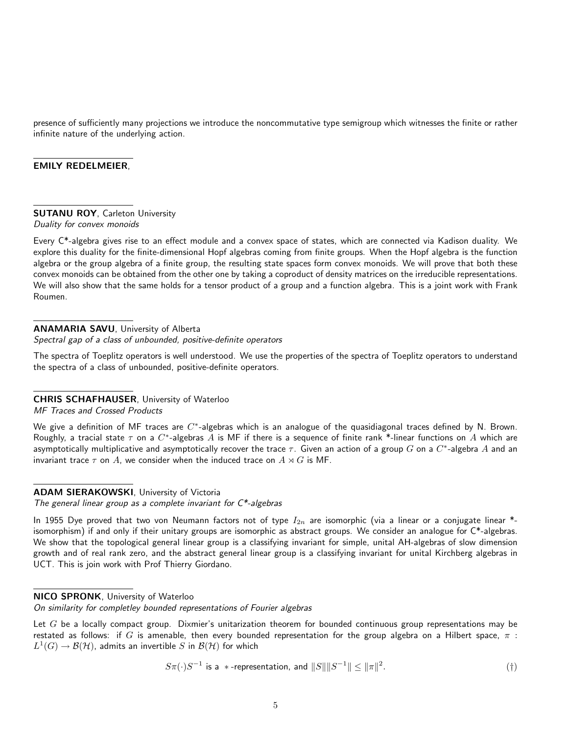presence of sufficiently many projections we introduce the noncommutative type semigroup which witnesses the finite or rather infinite nature of the underlying action.

#### EMILY REDELMEIER,

#### **SUTANU ROY, Carleton University** Duality for convex monoids

Every C\*-algebra gives rise to an effect module and a convex space of states, which are connected via Kadison duality. We explore this duality for the finite-dimensional Hopf algebras coming from finite groups. When the Hopf algebra is the function algebra or the group algebra of a finite group, the resulting state spaces form convex monoids. We will prove that both these convex monoids can be obtained from the other one by taking a coproduct of density matrices on the irreducible representations. We will also show that the same holds for a tensor product of a group and a function algebra. This is a joint work with Frank Roumen.

## ANAMARIA SAVU, University of Alberta

Spectral gap of a class of unbounded, positive-definite operators

The spectra of Toeplitz operators is well understood. We use the properties of the spectra of Toeplitz operators to understand the spectra of a class of unbounded, positive-definite operators.

## CHRIS SCHAFHAUSER, University of Waterloo

MF Traces and Crossed Products

We give a definition of MF traces are  $C^*$ -algebras which is an analogue of the quasidiagonal traces defined by N. Brown. Roughly, a tracial state  $\tau$  on a  $C^*$ -algebras  $A$  is MF if there is a sequence of finite rank \*-linear functions on  $A$  which are asymptotically multiplicative and asymptotically recover the trace  $\tau.$  Given an action of a group  $G$  on a  $C^*$ -algebra  $A$  and an invariant trace  $\tau$  on A, we consider when the induced trace on  $A \rtimes G$  is MF.

## ADAM SIERAKOWSKI, University of Victoria

The general linear group as a complete invariant for  $C^*$ -algebras

In 1955 Dye proved that two von Neumann factors not of type  $I_{2n}$  are isomorphic (via a linear or a conjugate linear \*isomorphism) if and only if their unitary groups are isomorphic as abstract groups. We consider an analogue for  $C^*$ -algebras. We show that the topological general linear group is a classifying invariant for simple, unital AH-algebras of slow dimension growth and of real rank zero, and the abstract general linear group is a classifying invariant for unital Kirchberg algebras in UCT. This is join work with Prof Thierry Giordano.

## NICO SPRONK, University of Waterloo

On similarity for completley bounded representations of Fourier algebras

Let  $G$  be a locally compact group. Dixmier's unitarization theorem for bounded continuous group representations may be restated as follows: if G is amenable, then every bounded representation for the group algebra on a Hilbert space,  $\pi$ :  $L^1(G) \to \mathcal{B}(\mathcal{H})$ , admits an invertible  $S$  in  $\mathcal{B}(\mathcal{H})$  for which

$$
S\pi(\cdot)S^{-1} \text{ is a } *-\text{representation, and } ||S|| ||S^{-1}|| \le ||\pi||^2. \tag{\dagger}
$$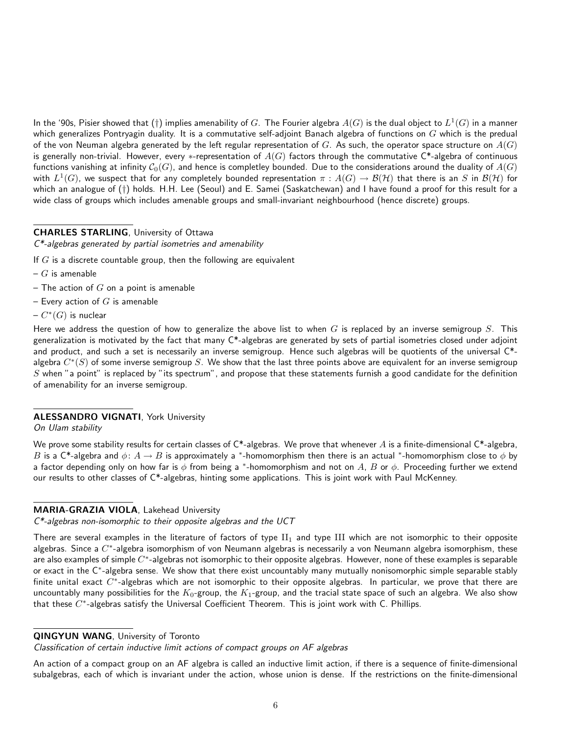In the '90s, Pisier showed that (†) implies amenability of  $G.$  The Fourier algebra  $A(G)$  is the dual object to  $L^1(G)$  in a manner which generalizes Pontryagin duality. It is a commutative self-adjoint Banach algebra of functions on  $G$  which is the predual of the von Neuman algebra generated by the left regular representation of G. As such, the operator space structure on  $A(G)$ is generally non-trivial. However, every \*-representation of  $A(G)$  factors through the commutative C\*-algebra of continuous functions vanishing at infinity  $C_0(G)$ , and hence is completley bounded. Due to the considerations around the duality of  $A(G)$ with  $L^1(G)$ , we suspect that for any completely bounded representation  $\pi:A(G)\to\mathcal B(\mathcal H)$  that there is an  $S$  in  $\mathcal B(\mathcal H)$  for which an analogue of (†) holds. H.H. Lee (Seoul) and E. Samei (Saskatchewan) and I have found a proof for this result for a wide class of groups which includes amenable groups and small-invariant neighbourhood (hence discrete) groups.

#### CHARLES STARLING, University of Ottawa

C\*-algebras generated by partial isometries and amenability

If  $G$  is a discrete countable group, then the following are equivalent

- $G$  is amenable
- The action of  $G$  on a point is amenable
- Every action of  $G$  is amenable
- $C^*(G)$  is nuclear

Here we address the question of how to generalize the above list to when  $G$  is replaced by an inverse semigroup  $S$ . This generalization is motivated by the fact that many  $C^*$ -algebras are generated by sets of partial isometries closed under adjoint and product, and such a set is necessarily an inverse semigroup. Hence such algebras will be quotients of the universal C\*algebra  $C^*(S)$  of some inverse semigroup  $S$ . We show that the last three points above are equivalent for an inverse semigroup  $S$  when "a point" is replaced by "its spectrum", and propose that these statements furnish a good candidate for the definition of amenability for an inverse semigroup.

## ALESSANDRO VIGNATI, York University

On Ulam stability

We prove some stability results for certain classes of  $C^*$ -algebras. We prove that whenever A is a finite-dimensional  $C^*$ -algebra, B is a C\*-algebra and  $\phi\colon A\to B$  is approximately a \*-homomorphism then there is an actual \*-homomorphism close to  $\phi$  by a factor depending only on how far is  $\phi$  from being a \*-homomorphism and not on A, B or  $\phi$ . Proceeding further we extend our results to other classes of C\*-algebras, hinting some applications. This is joint work with Paul McKenney.

## MARIA-GRAZIA VIOLA, Lakehead University

 $C^*$ -algebras non-isomorphic to their opposite algebras and the UCT

There are several examples in the literature of factors of type  $II_1$  and type III which are not isomorphic to their opposite algebras. Since a  $C^*$ -algebra isomorphism of von Neumann algebras is necessarily a von Neumann algebra isomorphism, these are also examples of simple  $C^*$ -algebras not isomorphic to their opposite algebras. However, none of these examples is separable or exact in the C<sup>∗</sup> -algebra sense. We show that there exist uncountably many mutually nonisomorphic simple separable stably finite unital exact  $C^*$ -algebras which are not isomorphic to their opposite algebras. In particular, we prove that there are uncountably many possibilities for the  $K_0$ -group, the  $K_1$ -group, and the tracial state space of such an algebra. We also show that these  $C^*$ -algebras satisfy the Universal Coefficient Theorem. This is joint work with C. Phillips.

#### QINGYUN WANG, University of Toronto

Classification of certain inductive limit actions of compact groups on AF algebras

An action of a compact group on an AF algebra is called an inductive limit action, if there is a sequence of finite-dimensional subalgebras, each of which is invariant under the action, whose union is dense. If the restrictions on the finite-dimensional